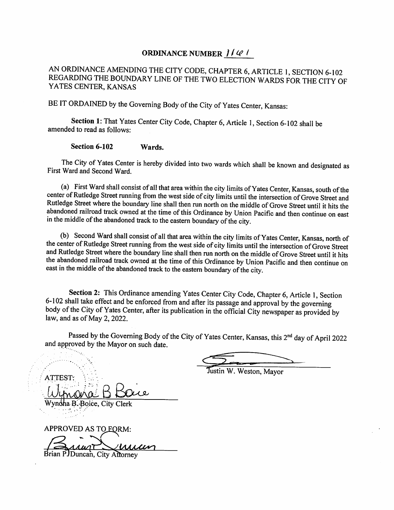## ORDINANCE NUMBER  $1/4$

AN ORDINANCE AMENDING THE CITY CODE, CHAPTER 6, ARTICLE 1, SECTION 6-102 REGARDING THE BOUNDARY LINE OF THE TWO ELECTION WARDS FOR THE CITY OF YATES CENTER, KANSAS

BE IT ORDAINED by the Governing Body of the City of Yates Center, Kansas:

Section 1: That Yates Center City Code, Chapter 6, Article 1, Section 6-102 shall be amended to read as follows:

Section 6-102 Wards.

The City of Yates Center is hereby divided into two wards which shall be known and designated as First Ward and Second Ward.

(a) First Ward shall consist of all that area within the city limits of Yates Center, Kansas, south of the center of Rutledge Street running from the west side of city limits until the intersection of Grove Street and Rutledge Street where the boundary line shall then run north on the middle of Grove Street until it hits the abandoned railroad track owned at the time of this Ordinance by Union Pacific and then continue on east in the middle of the abandoned track to the eastern boundary of the city.

(b) Second Ward shall consist of all that area within the city limits of Yates Center, Kansas, north of the center of Rutledge Street running from the west side of city limits until the intersection of Grove Street and Rutledge Street where the boundary line shall then run north on the middle of Grove Street until it hits the abandoned railroad track owned at the time of this Ordinance by Union Pacific and then continue on east in the middle of the abandoned track to the eastern boundary of the city.

Section 2: This Ordinance amending Yates Center City Code, Chapter 6, Article I, Section 6-102 shall take effect and be enforced from and after its passage and approval by the governing body of the City of Yates Center, after its publication in the official City newspaper as provided by law, and as of May 2,2022.

Passed by the Governing Body of the City of Yates Center, Kansas, this 2<sup>nd</sup> day of April 2022 and approved by the Mayor on such date.

Justin W. Weston, Mayor

Wynoha B. Boice, City Clerk

**ATTES** 

APPROVED AS TO FORM: Brian P.JDuncan, City Attorney <u>Muun</u>